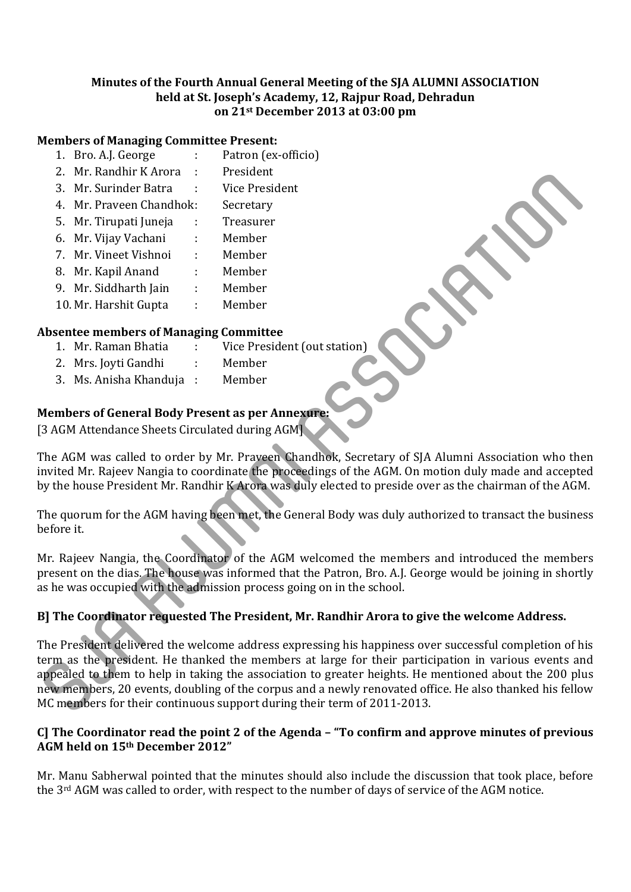#### **Minutes of the Fourth Annual General Meeting of the SJA ALUMNI ASSOCIATION held at St. Joseph's Academy, 12, Rajpur Road, Dehradun on 21st December 2013 at 03:00 pm**

#### **Members of Managing Committee Present:**

- 1. Bro. A.J. George : Patron (ex-officio)
- 2. Mr. Randhir K Arora : President
- 3. Mr. Surinder Batra : Vice President
- 4. Mr. Praveen Chandhok: Secretary
- 5. Mr. Tirupati Juneja : Treasurer
- 6. Mr. Vijay Vachani : Member
- 7. Mr. Vineet Vishnoi : Member
- 8. Mr. Kapil Anand : Member
- 9. Mr. Siddharth Jain : Member
- 10. Mr. Harshit Gupta : Member

# **Absentee members of Managing Committee**

- 1. Mr. Raman Bhatia : Vice President (out station)
- 2. Mrs. Joyti Gandhi : Member
- 3. Ms. Anisha Khanduja : Member

# **Members** of General Body Present as per Annexure

[3 AGM Attendance Sheets Circulated during AGM]

The AGM was called to order by Mr. Praveen Chandhok, Secretary of SJA Alumni Association who then invited Mr. Rajeev Nangia to coordinate the proceedings of the AGM. On motion duly made and accepted by the house President Mr. Randhir K Arora was duly elected to preside over as the chairman of the AGM.

The quorum for the AGM having been met, the General Body was duly authorized to transact the business before it.

Mr. Rajeev Nangia, the Coordinator of the AGM welcomed the members and introduced the members present on the dias. The house was informed that the Patron, Bro. A.J. George would be joining in shortly as he was occupied with the admission process going on in the school.

# **B] The Coordinator requested The President, Mr. Randhir Arora to give the welcome Address.**

The President delivered the welcome address expressing his happiness over successful completion of his term as the president. He thanked the members at large for their participation in various events and appealed to them to help in taking the association to greater heights. He mentioned about the 200 plus new members, 20 events, doubling of the corpus and a newly renovated office. He also thanked his fellow MC members for their continuous support during their term of 2011-2013. 2. Mr. Kanton Track and Track and Track and Track and Track and Track and Track and Track and Track and Track and Track and Track and Track and Track and Track and Member<br>
1. Mr. Viney Vachani Member<br>
1. Mr. Kapil Anand Me

#### **C] The Coordinator read the point 2 of the Agenda – "To confirm and approve minutes of previous AGM held on 15th December 2012"**

Mr. Manu Sabherwal pointed that the minutes should also include the discussion that took place, before the 3<sup>rd</sup> AGM was called to order, with respect to the number of days of service of the AGM notice.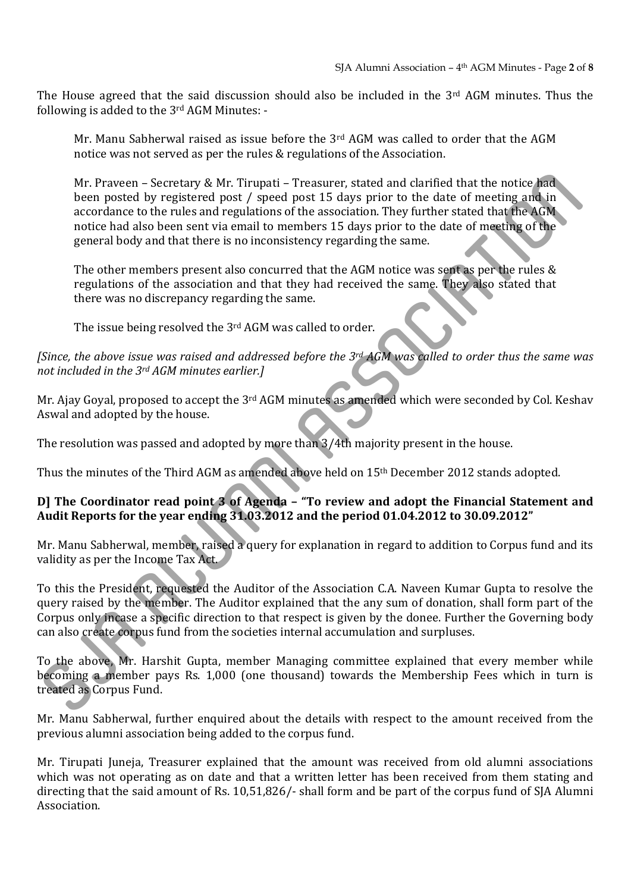The House agreed that the said discussion should also be included in the  $3<sup>rd</sup>$  AGM minutes. Thus the following is added to the  $3^{\text{rd}}$  AGM Minutes: -

Mr. Manu Sabherwal raised as issue before the  $3<sup>rd</sup>$  AGM was called to order that the AGM notice was not served as per the rules & regulations of the Association.

Mr. Praveen – Secretary & Mr. Tirupati – Treasurer, stated and clarified that the notice had been posted by registered post / speed post 15 days prior to the date of meeting and in accordance to the rules and regulations of the association. They further stated that the AGM notice had also been sent via email to members 15 days prior to the date of meeting of the general body and that there is no inconsistency regarding the same. Mr. Prayeen – Secretary & Mr. Tirupati – Treasurer, stated and clarified that the notice knotsets by registered post  $\gamma$  speed post 15 days prior to the date of meeting and here meeting and reputations of the association

The other members present also concurred that the AGM notice was sent as per the rules  $&$ regulations of the association and that they had received the same. They also stated that there was no discrepancy regarding the same.

The issue being resolved the  $3<sup>rd</sup>$  AGM was called to order.

[Since, the above issue was raised and addressed before the 3rd AGM was called to order thus the same was *not included in the 3rd AGM minutes earlier.]*

Mr. Ajay Goyal, proposed to accept the 3<sup>rd</sup> AGM minutes as amended which were seconded by Col. Keshav Aswal and adopted by the house.

The resolution was passed and adopted by more than  $3/4$ th majority present in the house.

Thus the minutes of the Third AGM as amended above held on 15<sup>th</sup> December 2012 stands adopted.

#### **D] The Coordinator read point 3 of Agenda – "To review and adopt the Financial Statement and Audit Reports for the year ending 31.03.2012 and the period 01.04.2012 to 30.09.2012"**

Mr. Manu Sabherwal, member, raised a query for explanation in regard to addition to Corpus fund and its validity as per the Income Tax Act.

To this the President, requested the Auditor of the Association C.A. Naveen Kumar Gupta to resolve the query raised by the member. The Auditor explained that the any sum of donation, shall form part of the Corpus only incase a specific direction to that respect is given by the donee. Further the Governing body can also create corpus fund from the societies internal accumulation and surpluses.

To the above, Mr. Harshit Gupta, member Managing committee explained that every member while becoming a member pays Rs. 1,000 (one thousand) towards the Membership Fees which in turn is treated as Corpus Fund.

Mr. Manu Sabherwal, further enquired about the details with respect to the amount received from the previous alumni association being added to the corpus fund.

Mr. Tirupati Juneja, Treasurer explained that the amount was received from old alumni associations which was not operating as on date and that a written letter has been received from them stating and directing that the said amount of Rs. 10,51,826/- shall form and be part of the corpus fund of SJA Alumni Association.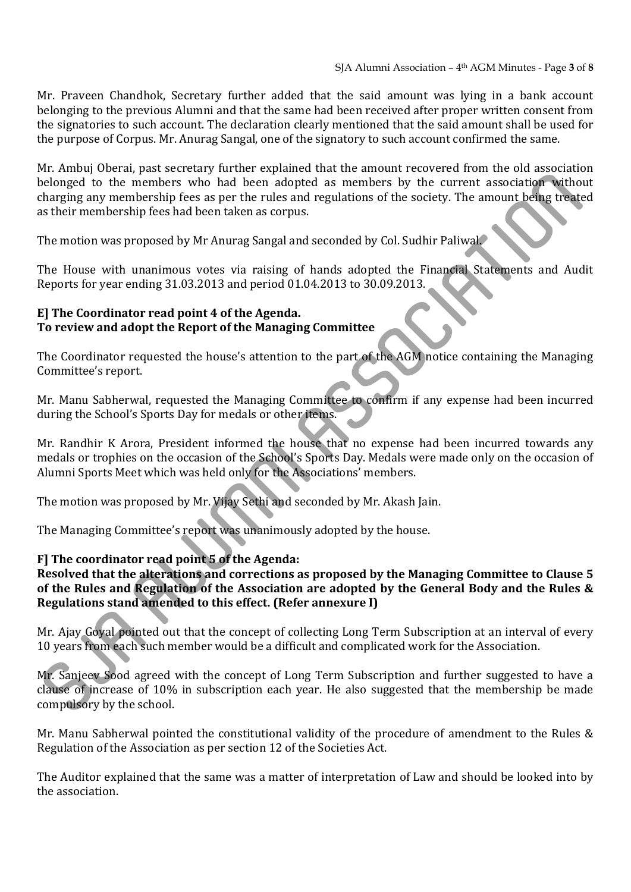Mr. Praveen Chandhok, Secretary further added that the said amount was lying in a bank account belonging to the previous Alumni and that the same had been received after proper written consent from the signatories to such account. The declaration clearly mentioned that the said amount shall be used for the purpose of Corpus. Mr. Anurag Sangal, one of the signatory to such account confirmed the same.

Mr. Ambuj Oberai, past secretary further explained that the amount recovered from the old association belonged to the members who had been adopted as members by the current association without charging any membership fees as per the rules and regulations of the society. The amount being treated as their membership fees had been taken as corpus. belonged to the members who had been adopted as members by the current association witho<br>elonged to the members who had been adopted as members by the current association witho<br>harging any membership toes as joir the nies

The motion was proposed by Mr Anurag Sangal and seconded by Col. Sudhir Paliwal.

The House with unanimous votes via raising of hands adopted the Financial Statements and Audit Reports for year ending 31.03.2013 and period 01.04.2013 to 30.09.2013.

#### **E] The Coordinator read point 4 of the Agenda. To review and adopt the Report of the Managing Committee**

The Coordinator requested the house's attention to the part of the AGM notice containing the Managing Committee's report.

Mr. Manu Sabherwal, requested the Managing Committee to confirm if any expense had been incurred during the School's Sports Day for medals or other items.

Mr. Randhir K Arora, President informed the house that no expense had been incurred towards any medals or trophies on the occasion of the School's Sports Day. Medals were made only on the occasion of Alumni Sports Meet which was held only for the Associations' members.

The motion was proposed by Mr. Vijay Sethi and seconded by Mr. Akash Jain.

The Managing Committee's report was unanimously adopted by the house.

# **F] The coordinator read point 5 of the Agenda:**

**Resolved that the alterations and corrections as proposed by the Managing Committee to Clause 5 of the Rules and Regulation of the Association are adopted by the General Body and the Rules & Regulations stand amended to this effect. (Refer annexure I)**

Mr. Ajay Goyal pointed out that the concept of collecting Long Term Subscription at an interval of every 10 years from each such member would be a difficult and complicated work for the Association.

Mr. Sanjeev Sood agreed with the concept of Long Term Subscription and further suggested to have a clause of increase of 10% in subscription each year. He also suggested that the membership be made compulsory by the school.

Mr. Manu Sabherwal pointed the constitutional validity of the procedure of amendment to the Rules  $&$ Regulation of the Association as per section 12 of the Societies Act.

The Auditor explained that the same was a matter of interpretation of Law and should be looked into by the association.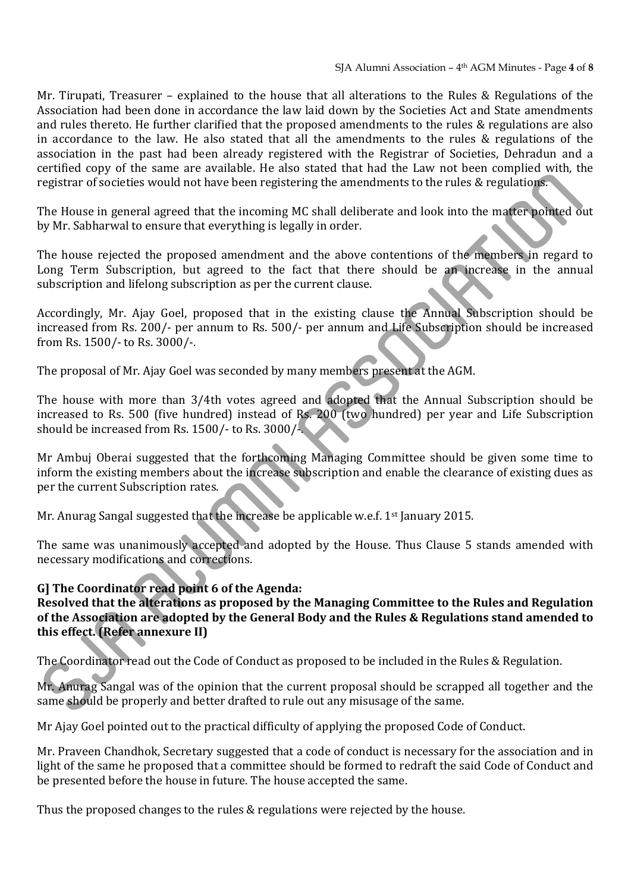Mr. Tirupati, Treasurer – explained to the house that all alterations to the Rules & Regulations of the Association had been done in accordance the law laid down by the Societies Act and State amendments and rules thereto. He further clarified that the proposed amendments to the rules & regulations are also in accordance to the law. He also stated that all the amendments to the rules  $\&$  regulations of the association in the past had been already registered with the Registrar of Societies, Dehradun and a certified copy of the same are available. He also stated that had the Law not been complied with, the registrar of societies would not have been registering the amendments to the rules & regulations.

The House in general agreed that the incoming MC shall deliberate and look into the matter pointed out by Mr. Sabharwal to ensure that everything is legally in order.

The house rejected the proposed amendment and the above contentions of the members in regard to Long Term Subscription, but agreed to the fact that there should be an increase in the annual subscription and lifelong subscription as per the current clause.

Accordingly, Mr. Ajay Goel, proposed that in the existing clause the Annual Subscription should be increased from Rs. 200/- per annum to Rs. 500/- per annum and Life Subscription should be increased from Rs. 1500/- to Rs. 3000/-.

The proposal of Mr. Ajay Goel was seconded by many members present at the AGM.

The house with more than  $3/4$ th votes agreed and adopted that the Annual Subscription should be increased to Rs. 500 (five hundred) instead of Rs.  $200$  (two hundred) per year and Life Subscription should be increased from Rs.  $1500/-$  to Rs.  $3000/-$ .

Mr Ambuj Oberai suggested that the forthcoming Managing Committee should be given some time to inform the existing members about the increase subscription and enable the clearance of existing dues as per the current Subscription rates.

Mr. Anurag Sangal suggested that the increase be applicable w.e.f.  $1<sup>st</sup>$  January 2015.

The same was unanimously accepted and adopted by the House. Thus Clause 5 stands amended with necessary modifications and corrections.

# **G] The Coordinator read point 6 of the Agenda:**

# **Resolved that the alterations as proposed by the Managing Committee to the Rules and Regulation of the Association are adopted by the General Body and the Rules & Regulations stand amended to this effect. (Refer annexure II)** entence to societies would not have been registering the amendments to the rules & regulations.<br>The House in general agreed that the incoming MC shall deliberate and look into the marker pointed of<br>The House in general agr

The Coordinator read out the Code of Conduct as proposed to be included in the Rules & Regulation.

Mr. Anurag Sangal was of the opinion that the current proposal should be scrapped all together and the same should be properly and better drafted to rule out any misusage of the same.

Mr Ajay Goel pointed out to the practical difficulty of applying the proposed Code of Conduct.

Mr. Praveen Chandhok, Secretary suggested that a code of conduct is necessary for the association and in light of the same he proposed that a committee should be formed to redraft the said Code of Conduct and be presented before the house in future. The house accepted the same.

Thus the proposed changes to the rules & regulations were rejected by the house.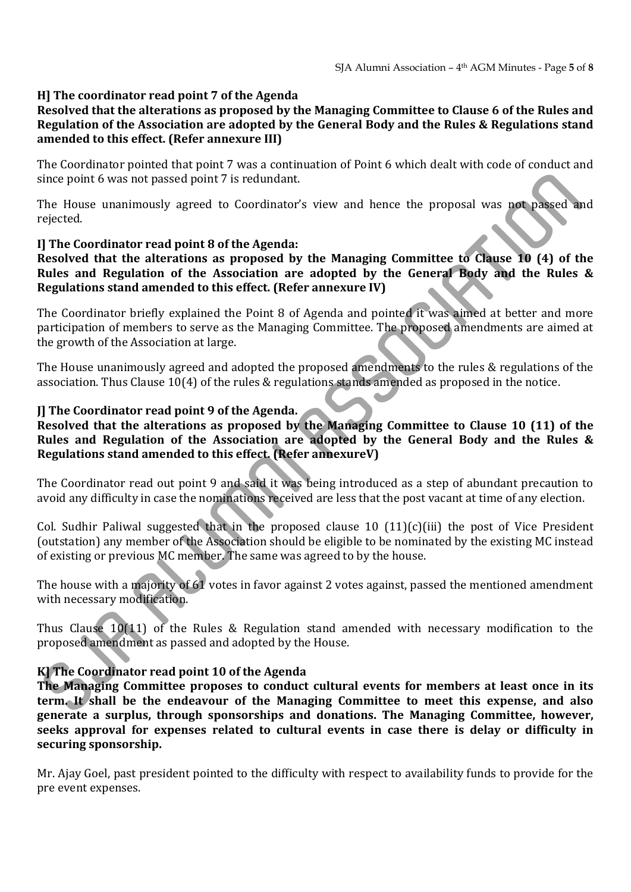#### **H] The coordinator read point 7 of the Agenda**

#### **Resolved that the alterations as proposed by the Managing Committee to Clause 6 of the Rules and Regulation of the Association are adopted by the General Body and the Rules & Regulations stand amended to this effect. (Refer annexure III)**

The Coordinator pointed that point 7 was a continuation of Point 6 which dealt with code of conduct and since point 6 was not passed point 7 is redundant.

The House unanimously agreed to Coordinator's view and hence the proposal was not passed and rejected. 

#### **I] The Coordinator read point 8 of the Agenda:**

#### **Resolved that the alterations as proposed by the Managing Committee to Clause 10 (4) of the Rules and Regulation of the Association are adopted by the General Body and the Rules & Regulations stand amended to this effect. (Refer annexure IV)**

The Coordinator briefly explained the Point 8 of Agenda and pointed it was aimed at better and more participation of members to serve as the Managing Committee. The proposed amendments are aimed at the growth of the Association at large.

The House unanimously agreed and adopted the proposed amendments to the rules & regulations of the association. Thus Clause  $10(4)$  of the rules & regulations stands amended as proposed in the notice.

#### **J] The Coordinator read point 9 of the Agenda.**

#### **Resolved that the alterations as proposed by the Managing Committee to Clause 10 (11) of the Rules and Regulation of the Association are adopted by the General Body and the Rules & Regulations stand amended to this effect. (Refer annexureV)**

The Coordinator read out point 9 and said it was being introduced as a step of abundant precaution to avoid any difficulty in case the nominations received are less that the post vacant at time of any election.

Col. Sudhir Paliwal suggested that in the proposed clause 10  $(11)(c)(iii)$  the post of Vice President (outstation) any member of the Association should be eligible to be nominated by the existing MC instead of existing or previous MC member. The same was agreed to by the house. since point 6 was not passed point 7 is redundant.<br>The House unanimously agreed to Coordinator's view and hence the proposal was such passed as<br>rejected.<br>The House unanimously agreed to Coordinator's view and hence the pro

The house with a majority of  $61$  votes in favor against 2 votes against, passed the mentioned amendment with necessary modification.

Thus Clause  $10(11)$  of the Rules & Regulation stand amended with necessary modification to the proposed amendment as passed and adopted by the House.

#### **K] The Coordinator read point 10 of the Agenda**

**The Managing Committee proposes to conduct cultural events for members at least once in its term. It shall be the endeavour of the Managing Committee to meet this expense, and also generate a surplus, through sponsorships and donations. The Managing Committee, however, seeks approval for expenses related to cultural events in case there is delay or difficulty in securing sponsorship.**

Mr. Ajay Goel, past president pointed to the difficulty with respect to availability funds to provide for the pre event expenses.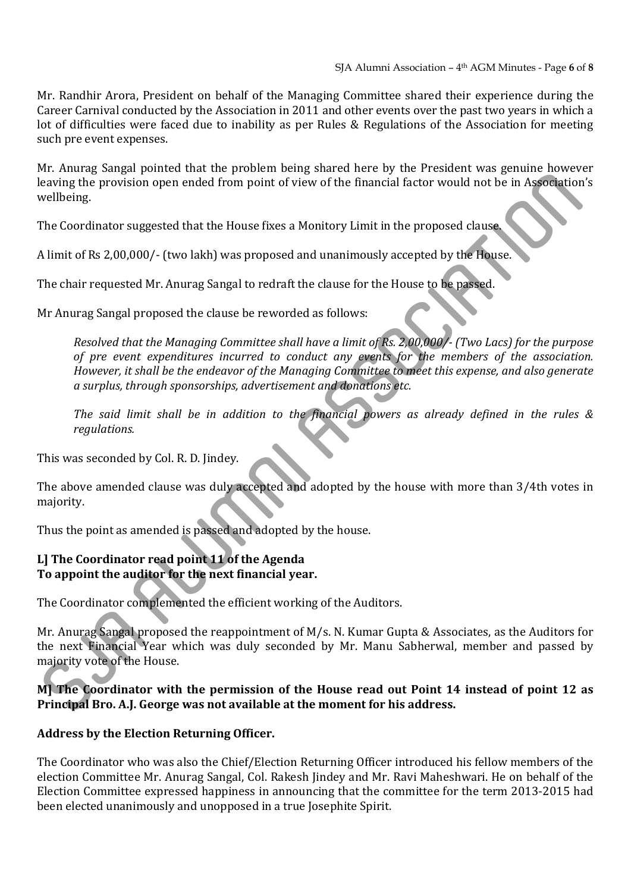Mr. Randhir Arora, President on behalf of the Managing Committee shared their experience during the Career Carnival conducted by the Association in 2011 and other events over the past two years in which a lot of difficulties were faced due to inability as per Rules & Regulations of the Association for meeting such pre event expenses.

Mr. Anurag Sangal pointed that the problem being shared here by the President was genuine however leaving the provision open ended from point of view of the financial factor would not be in Association's wellbeing. 

The Coordinator suggested that the House fixes a Monitory Limit in the proposed clause.

A limit of Rs 2,00,000/- (two lakh) was proposed and unanimously accepted by the House.

The chair requested Mr. Anurag Sangal to redraft the clause for the House to be passed.

Mr Anurag Sangal proposed the clause be reworded as follows:

Resolved that the Managing Committee shall have a limit of Rs. 2,00,000/- (Two Lacs) for the purpose *of pre event expenditures incurred to conduct any events for the members of the association. However, it shall be the endeavor of the Managing Committee to meet this expense, and also generate a surplus, through sponsorships, advertisement and donations etc.* eaving the provision open ended if pon point of view of the financial factor would not be in Associates,<br>earline the provision open ended from point of view of the financial factor would not be in Associates<br>relihing.<br>The

*The said limit shall be in addition to the financial powers as already defined in the rules & regulations.*

This was seconded by Col. R. D. Jindey.

The above amended clause was duly accepted and adopted by the house with more than 3/4th votes in majority. 

Thus the point as amended is passed and adopted by the house.

# **L] The Coordinator read point 11 of the Agenda To appoint the auditor for the next financial year.**

The Coordinator complemented the efficient working of the Auditors.

Mr. Anurag Sangal proposed the reappointment of  $M/s$ . N. Kumar Gupta & Associates, as the Auditors for the next Financial Year which was duly seconded by Mr. Manu Sabherwal, member and passed by majority vote of the House.

#### **M] The Coordinator with the permission of the House read out Point 14 instead of point 12 as Principal Bro. A.J. George was not available at the moment for his address.**

#### **Address by the Election Returning Officer.**

The Coordinator who was also the Chief/Election Returning Officer introduced his fellow members of the election Committee Mr. Anurag Sangal, Col. Rakesh Jindey and Mr. Ravi Maheshwari. He on behalf of the Election Committee expressed happiness in announcing that the committee for the term 2013-2015 had been elected unanimously and unopposed in a true Iosephite Spirit.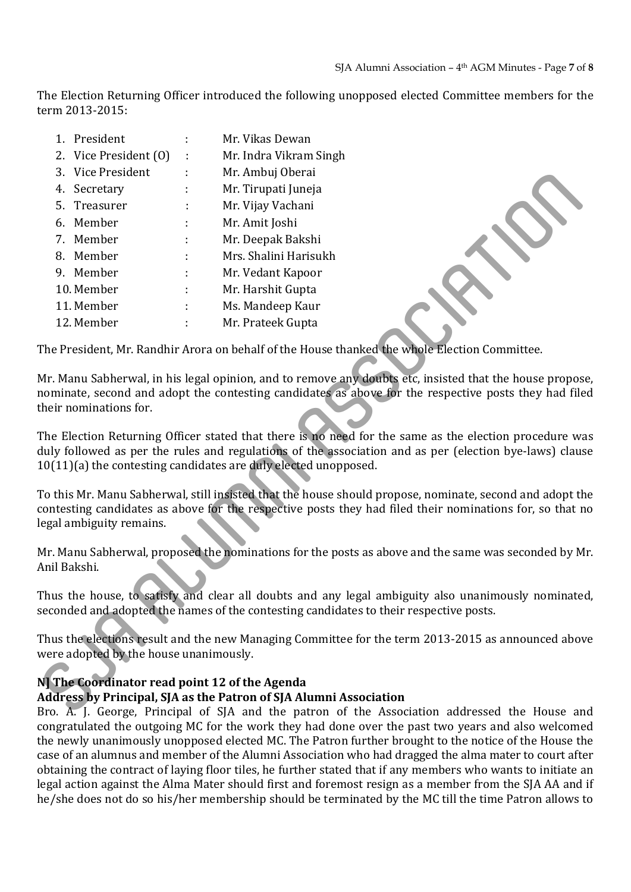The Election Returning Officer introduced the following unopposed elected Committee members for the term 2013‐2015: 

|                                                                                                                                                                                                                                                                                  | 1. President          |  | Mr. Vikas Dewan        |
|----------------------------------------------------------------------------------------------------------------------------------------------------------------------------------------------------------------------------------------------------------------------------------|-----------------------|--|------------------------|
|                                                                                                                                                                                                                                                                                  | 2. Vice President (0) |  | Mr. Indra Vikram Singh |
|                                                                                                                                                                                                                                                                                  | 3. Vice President     |  | Mr. Ambuj Oberai       |
|                                                                                                                                                                                                                                                                                  | 4. Secretary          |  | Mr. Tirupati Juneja    |
| 5.                                                                                                                                                                                                                                                                               | Treasurer             |  | Mr. Vijay Vachani      |
|                                                                                                                                                                                                                                                                                  | 6. Member             |  | Mr. Amit Joshi         |
|                                                                                                                                                                                                                                                                                  | 7. Member             |  | Mr. Deepak Bakshi      |
|                                                                                                                                                                                                                                                                                  | 8. Member             |  | Mrs. Shalini Harisukh  |
|                                                                                                                                                                                                                                                                                  | 9. Member             |  | Mr. Vedant Kapoor      |
|                                                                                                                                                                                                                                                                                  | 10. Member            |  | Mr. Harshit Gupta      |
|                                                                                                                                                                                                                                                                                  | 11. Member            |  | Ms. Mandeep Kaur       |
|                                                                                                                                                                                                                                                                                  | 12. Member            |  | Mr. Prateek Gupta      |
| The President, Mr. Randhir Arora on behalf of the House thanked the whole Election Committee.                                                                                                                                                                                    |                       |  |                        |
| Mr. Manu Sabherwal, in his legal opinion, and to remove any doubts etc, insisted that the house propos<br>nominate, second and adopt the contesting candidates as above for the respective posts they had file<br>their nominations for.                                         |                       |  |                        |
| The Election Returning Officer stated that there is no need for the same as the election procedure w<br>duly followed as per the rules and regulations of the association and as per (election bye-laws) clau<br>10(11)(a) the contesting candidates are duly elected unopposed. |                       |  |                        |
| To this Mr. Manu Sabherwal, still insisted that the house should propose, nominate, second and adopt tl<br>contesting candidates as above for the respective posts they had filed their nominations for, so that i<br>egal ambiguity remains.                                    |                       |  |                        |
| Mr. Manu Sabherwal, proposed the nominations for the posts as above and the same was seconded by M<br>Anil Bakshi.                                                                                                                                                               |                       |  |                        |
| Thus the house, to satisfy and clear all doubts and any legal ambiguity also unanimously nominate<br>seconded and adopted the names of the contesting candidates to their respective posts.                                                                                      |                       |  |                        |
| Thus the elections result and the new Managing Committee for the term 2013-2015 as announced abo<br>were adopted by the house unanimously.                                                                                                                                       |                       |  |                        |
| N] The Coordinator read point 12 of the Agenda<br><b>Address by Principal, SJA as the Patron of SJA Alumni Association</b><br>Bro. A. L. George, Principal of SIA and the patron of the Association addressed the House are                                                      |                       |  |                        |

# **N] The Coordinator read point 12 of the Agenda**

# **Address by Principal, SJA as the Patron of SJA Alumni Association**

Bro. A. J. George, Principal of SJA and the patron of the Association addressed the House and congratulated the outgoing MC for the work they had done over the past two years and also welcomed the newly unanimously unopposed elected MC. The Patron further brought to the notice of the House the case of an alumnus and member of the Alumni Association who had dragged the alma mater to court after obtaining the contract of laying floor tiles, he further stated that if any members who wants to initiate an legal action against the Alma Mater should first and foremost resign as a member from the SJA AA and if he/she does not do so his/her membership should be terminated by the MC till the time Patron allows to